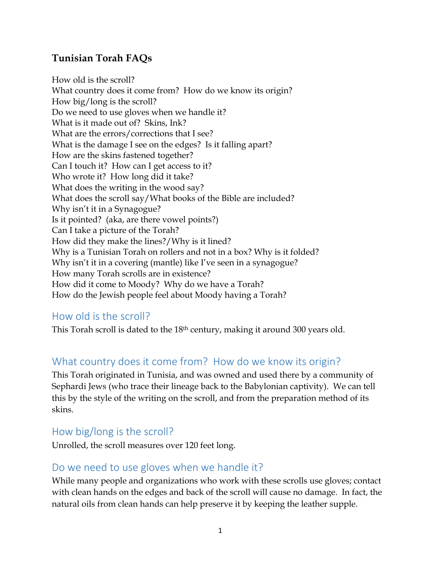## **Tunisian Torah FAQs**

How old is the scroll? What country does it come from? How do we know its origin? How big/long is the scroll? Do we need to use gloves when we handle it? What is it made out of? Skins, Ink? What are the errors/corrections that I see? What is the damage I see on the edges? Is it falling apart? How are the skins fastened together? Can I touch it? How can I get access to it? Who wrote it? How long did it take? What does the writing in the wood say? [What does the scroll say/What books of the Bible are included?](#page-1-0)  Why isn't it in a Synagogue? Is it pointed? (aka, are there vowel points?) Can I take a picture of the Torah? How did they make the lines?/Why is it lined? [Why is a Tunisian Torah on rollers and not in a box? Why is it folded?](#page-2-0)  Why isn't it in a covering (mantle) like I've seen in a synagogue? How many Torah scrolls are in existence? How did it come to Moody? Why do we have a Torah? [How do the Jewish people feel about Moody having a Torah?](#page-3-0) 

## How old is the scroll?

This Torah scroll is dated to the 18th century, making it around 300 years old.

## What country does it come from? How do we know its origin?

This Torah originated in Tunisia, and was owned and used there by a community of Sephardi Jews (who trace their lineage back to the Babylonian captivity). We can tell this by the style of the writing on the scroll, and from the preparation method of its skins.

#### How big/long is the scroll?

Unrolled, the scroll measures over 120 feet long.

#### Do we need to use gloves when we handle it?

While many people and organizations who work with these scrolls use gloves; contact with clean hands on the edges and back of the scroll will cause no damage. In fact, the natural oils from clean hands can help preserve it by keeping the leather supple.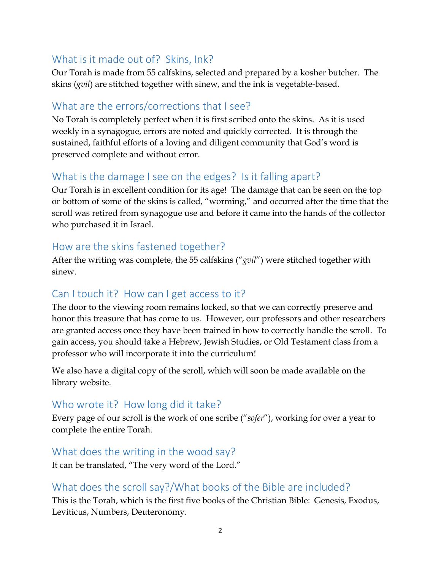### <span id="page-1-0"></span>What is it made out of? Skins, Ink?

Our Torah is made from 55 calfskins, selected and prepared by a kosher butcher. The skins (*gvil*) are stitched together with sinew, and the ink is vegetable-based.

### What are the errors/corrections that I see?

No Torah is completely perfect when it is first scribed onto the skins. As it is used weekly in a synagogue, errors are noted and quickly corrected. It is through the sustained, faithful efforts of a loving and diligent community that God's word is preserved complete and without error.

#### What is the damage I see on the edges? Is it falling apart?

Our Torah is in excellent condition for its age! The damage that can be seen on the top or bottom of some of the skins is called, "worming," and occurred after the time that the scroll was retired from synagogue use and before it came into the hands of the collector who purchased it in Israel.

#### How are the skins fastened together?

After the writing was complete, the 55 calfskins ("*gvil*") were stitched together with sinew.

## Can I touch it? How can I get access to it?

The door to the viewing room remains locked, so that we can correctly preserve and honor this treasure that has come to us. However, our professors and other researchers are granted access once they have been trained in how to correctly handle the scroll. To gain access, you should take a Hebrew, Jewish Studies, or Old Testament class from a professor who will incorporate it into the curriculum!

We also have a digital copy of the scroll, which will soon be made available on the library website.

#### Who wrote it? How long did it take?

Every page of our scroll is the work of one scribe ("*sofer*"), working for over a year to complete the entire Torah.

#### What does the writing in the wood say?

It can be translated, "The very word of the Lord."

## What does the scroll say?/What books of the Bible are included?

This is the Torah, which is the first five books of the Christian Bible: Genesis, Exodus, Leviticus, Numbers, Deuteronomy.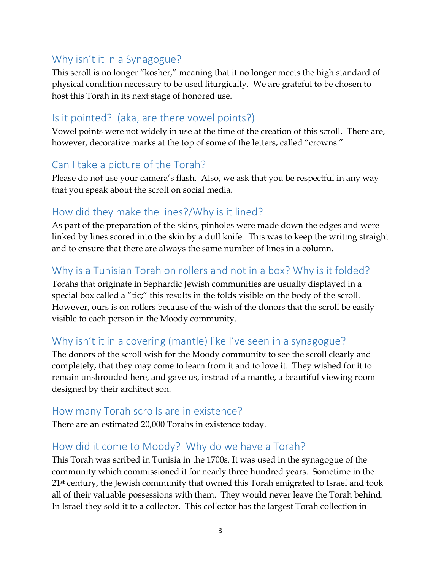## <span id="page-2-0"></span>Why isn't it in a Synagogue?

This scroll is no longer "kosher," meaning that it no longer meets the high standard of physical condition necessary to be used liturgically. We are grateful to be chosen to host this Torah in its next stage of honored use.

## Is it pointed? (aka, are there vowel points?)

Vowel points were not widely in use at the time of the creation of this scroll. There are, however, decorative marks at the top of some of the letters, called "crowns."

#### Can I take a picture of the Torah?

Please do not use your camera's flash. Also, we ask that you be respectful in any way that you speak about the scroll on social media.

#### How did they make the lines?/Why is it lined?

As part of the preparation of the skins, pinholes were made down the edges and were linked by lines scored into the skin by a dull knife. This was to keep the writing straight and to ensure that there are always the same number of lines in a column.

## Why is a Tunisian Torah on rollers and not in a box? Why is it folded?

Torahs that originate in Sephardic Jewish communities are usually displayed in a special box called a "tic;" this results in the folds visible on the body of the scroll. However, ours is on rollers because of the wish of the donors that the scroll be easily visible to each person in the Moody community.

## Why isn't it in a covering (mantle) like I've seen in a synagogue?

The donors of the scroll wish for the Moody community to see the scroll clearly and completely, that they may come to learn from it and to love it. They wished for it to remain unshrouded here, and gave us, instead of a mantle, a beautiful viewing room designed by their architect son.

#### How many Torah scrolls are in existence?

There are an estimated 20,000 Torahs in existence today.

## How did it come to Moody? Why do we have a Torah?

This Torah was scribed in Tunisia in the 1700s. It was used in the synagogue of the community which commissioned it for nearly three hundred years. Sometime in the 21<sup>st</sup> century, the Jewish community that owned this Torah emigrated to Israel and took all of their valuable possessions with them. They would never leave the Torah behind. In Israel they sold it to a collector. This collector has the largest Torah collection in